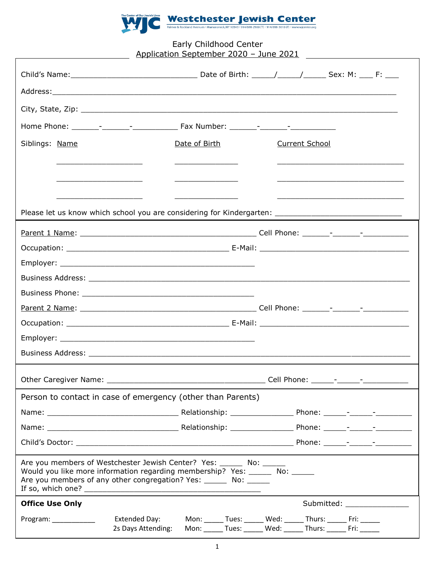

## Early Childhood Center Application September 2020 – June 2021

| Siblings: Name                                                                                                                                                                                                             |                                            | Date of Birth |  | <b>Current School</b> |                                                                                                                                  |                             |
|----------------------------------------------------------------------------------------------------------------------------------------------------------------------------------------------------------------------------|--------------------------------------------|---------------|--|-----------------------|----------------------------------------------------------------------------------------------------------------------------------|-----------------------------|
| <u> 1989 - Andrea State Barbara, president e popularis e a presidente de la presidente de la presidente de la pr</u>                                                                                                       |                                            |               |  |                       |                                                                                                                                  |                             |
|                                                                                                                                                                                                                            |                                            |               |  |                       |                                                                                                                                  |                             |
|                                                                                                                                                                                                                            |                                            |               |  |                       |                                                                                                                                  |                             |
|                                                                                                                                                                                                                            |                                            |               |  |                       |                                                                                                                                  |                             |
|                                                                                                                                                                                                                            |                                            |               |  |                       |                                                                                                                                  |                             |
|                                                                                                                                                                                                                            |                                            |               |  |                       |                                                                                                                                  |                             |
|                                                                                                                                                                                                                            |                                            |               |  |                       |                                                                                                                                  |                             |
|                                                                                                                                                                                                                            |                                            |               |  |                       |                                                                                                                                  |                             |
|                                                                                                                                                                                                                            |                                            |               |  |                       |                                                                                                                                  |                             |
|                                                                                                                                                                                                                            |                                            |               |  |                       |                                                                                                                                  |                             |
|                                                                                                                                                                                                                            |                                            |               |  |                       |                                                                                                                                  |                             |
|                                                                                                                                                                                                                            |                                            |               |  |                       |                                                                                                                                  |                             |
|                                                                                                                                                                                                                            |                                            |               |  |                       |                                                                                                                                  |                             |
|                                                                                                                                                                                                                            |                                            |               |  |                       |                                                                                                                                  |                             |
| Person to contact in case of emergency (other than Parents)                                                                                                                                                                |                                            |               |  |                       |                                                                                                                                  |                             |
|                                                                                                                                                                                                                            |                                            |               |  |                       |                                                                                                                                  |                             |
|                                                                                                                                                                                                                            |                                            |               |  |                       |                                                                                                                                  |                             |
|                                                                                                                                                                                                                            |                                            |               |  |                       |                                                                                                                                  |                             |
| Are you members of Westchester Jewish Center? Yes: ______ No: _____<br>Would you like more information regarding membership? Yes: _______ No: ______<br>Are you members of any other congregation? Yes: _______ No: ______ |                                            |               |  |                       |                                                                                                                                  |                             |
| <b>Office Use Only</b>                                                                                                                                                                                                     |                                            |               |  |                       |                                                                                                                                  | Submitted: ________________ |
| Program: ___________                                                                                                                                                                                                       | <b>Extended Day:</b><br>2s Days Attending: |               |  |                       | Mon: ______ Tues: ______ Wed: ______ Thurs: ______ Fri: ______<br>Mon: ______ Tues: ______ Wed: ______ Thurs: ______ Fri: ______ |                             |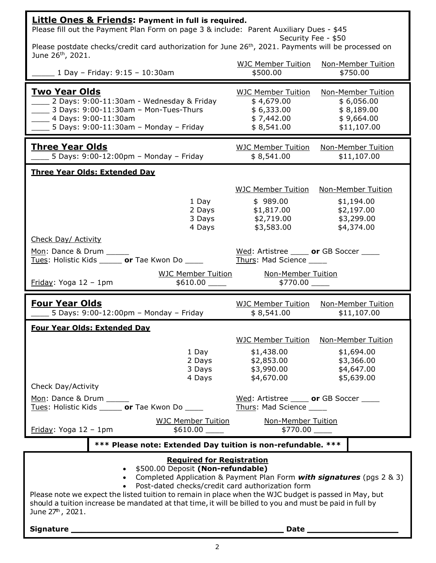| <b>Little Ones &amp; Friends: Payment in full is required.</b><br>Please fill out the Payment Plan Form on page 3 & include: Parent Auxiliary Dues - \$45                                                                                                                                                                                                                                                                                                      |                                                                                   |                                                                                   |  |  |  |
|----------------------------------------------------------------------------------------------------------------------------------------------------------------------------------------------------------------------------------------------------------------------------------------------------------------------------------------------------------------------------------------------------------------------------------------------------------------|-----------------------------------------------------------------------------------|-----------------------------------------------------------------------------------|--|--|--|
| Security Fee - \$50<br>Please postdate checks/credit card authorization for June 26 <sup>th</sup> , 2021. Payments will be processed on<br>June $26^{th}$ , 2021.                                                                                                                                                                                                                                                                                              |                                                                                   |                                                                                   |  |  |  |
| 1 Day - Friday: 9:15 - 10:30am                                                                                                                                                                                                                                                                                                                                                                                                                                 | <b>WJC Member Tuition</b><br>\$500.00                                             | <b>Non-Member Tuition</b><br>\$750.00                                             |  |  |  |
| <u>Two Year Olds</u><br>2 Days: 9:00-11:30am - Wednesday & Friday<br>$\_$ 3 Days: 9:00-11:30am - Mon-Tues-Thurs<br>4 Days: 9:00-11:30am<br>5 Days: 9:00-11:30am - Monday - Friday                                                                                                                                                                                                                                                                              | <b>WJC Member Tuition</b><br>\$4,679.00<br>\$6,333.00<br>\$7,442.00<br>\$8,541.00 | Non-Member Tuition<br>\$6,056.00<br>\$8,189.00<br>\$9,664.00<br>\$11,107.00       |  |  |  |
| <u>Three Year Olds</u><br>5 Days: 9:00-12:00pm - Monday - Friday                                                                                                                                                                                                                                                                                                                                                                                               | <b>WJC Member Tuition</b><br>\$8,541.00                                           | <b>Non-Member Tuition</b><br>\$11,107.00                                          |  |  |  |
| <b>Three Year Olds: Extended Day</b>                                                                                                                                                                                                                                                                                                                                                                                                                           |                                                                                   |                                                                                   |  |  |  |
| 1 Day<br>2 Days<br>3 Days<br>4 Days<br>Check Day/ Activity                                                                                                                                                                                                                                                                                                                                                                                                     | WJC Member Tuition<br>\$989.00<br>\$1,817.00<br>\$2,719.00<br>\$3,583.00          | Non-Member Tuition<br>\$1,194.00<br>\$2,197.00<br>\$3,299.00<br>\$4,374.00        |  |  |  |
| Mon: Dance & Drum                                                                                                                                                                                                                                                                                                                                                                                                                                              | Wed: Artistree _____ or GB Soccer ____                                            |                                                                                   |  |  |  |
| Tues: Holistic Kids ______ or Tae Kwon Do _____                                                                                                                                                                                                                                                                                                                                                                                                                | Thurs: Mad Science                                                                |                                                                                   |  |  |  |
| <b>WJC Member Tuition</b><br>Friday: Yoga 12 - 1pm<br>$$610.00$ $\_$                                                                                                                                                                                                                                                                                                                                                                                           | <b>Non-Member Tuition</b><br>$$770.00$ $\_$                                       |                                                                                   |  |  |  |
| <b>Four Year Olds</b><br>5 Days: 9:00-12:00pm - Monday - Friday                                                                                                                                                                                                                                                                                                                                                                                                | <b>WJC Member Tuition</b><br>\$8,541.00                                           | <b>Non-Member Tuition</b><br>\$11,107.00                                          |  |  |  |
| <b>Four Year Olds: Extended Day</b>                                                                                                                                                                                                                                                                                                                                                                                                                            |                                                                                   |                                                                                   |  |  |  |
| 1 Day<br>2 Days<br>3 Days<br>4 Days<br>Check Day/Activity                                                                                                                                                                                                                                                                                                                                                                                                      | <b>WJC Member Tuition</b><br>\$1,438.00<br>\$2,853.00<br>\$3,990.00<br>\$4,670.00 | <b>Non-Member Tuition</b><br>\$1,694.00<br>\$3,366.00<br>\$4,647.00<br>\$5,639.00 |  |  |  |
| Mon: Dance & Drum _____<br>Tues: Holistic Kids ______ or Tae Kwon Do ____                                                                                                                                                                                                                                                                                                                                                                                      | Wed: Artistree _____ or GB Soccer ____<br>Thurs: Mad Science _____                |                                                                                   |  |  |  |
| <b>WJC Member Tuition</b><br>$Eriday$ : Yoga 12 - 1pm                                                                                                                                                                                                                                                                                                                                                                                                          | <b>Non-Member Tuition</b>                                                         |                                                                                   |  |  |  |
| *** Please note: Extended Day tuition is non-refundable. ***                                                                                                                                                                                                                                                                                                                                                                                                   |                                                                                   |                                                                                   |  |  |  |
| <b>Required for Registration</b><br>• \$500.00 Deposit (Non-refundable)<br>• Completed Application & Payment Plan Form with signatures (pgs 2 & 3)<br>• Post-dated checks/credit card authorization form<br>Please note we expect the listed tuition to remain in place when the WJC budget is passed in May, but<br>should a tuition increase be mandated at that time, it will be billed to you and must be paid in full by<br>June 27 <sup>th</sup> , 2021. |                                                                                   |                                                                                   |  |  |  |
| Date <u>and</u>                                                                                                                                                                                                                                                                                                                                                                                                                                                |                                                                                   |                                                                                   |  |  |  |